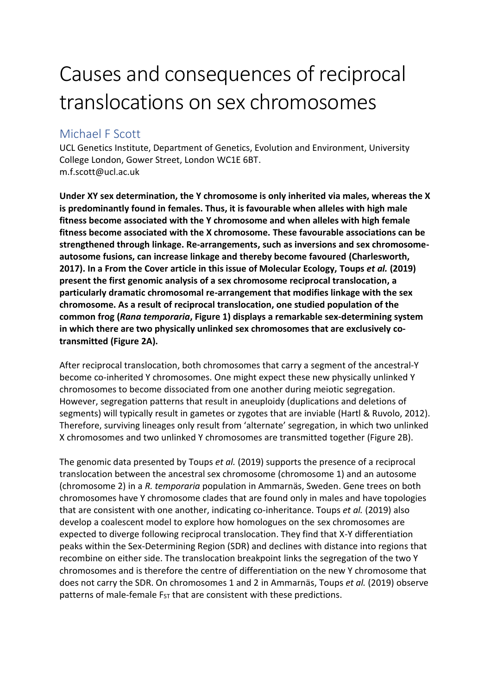## Causes and consequences of reciprocal translocations on sex chromosomes

## Michael F Scott

UCL Genetics Institute, Department of Genetics, Evolution and Environment, University College London, Gower Street, London WC1E 6BT. m.f.scott@ucl.ac.uk

**Under XY sex determination, the Y chromosome is only inherited via males, whereas the X is predominantly found in females. Thus, it is favourable when alleles with high male fitness become associated with the Y chromosome and when alleles with high female fitness become associated with the X chromosome. These favourable associations can be strengthened through linkage. Re-arrangements, such as inversions and sex chromosomeautosome fusions, can increase linkage and thereby become favoured (Charlesworth, 2017). In a From the Cover article in this issue of Molecular Ecology, Toups** *et al.* **(2019) present the first genomic analysis of a sex chromosome reciprocal translocation, a particularly dramatic chromosomal re-arrangement that modifies linkage with the sex chromosome. As a result of reciprocal translocation, one studied population of the common frog (***Rana temporaria***, Figure 1) displays a remarkable sex-determining system in which there are two physically unlinked sex chromosomes that are exclusively cotransmitted (Figure 2A).** 

After reciprocal translocation, both chromosomes that carry a segment of the ancestral-Y become co-inherited Y chromosomes. One might expect these new physically unlinked Y chromosomes to become dissociated from one another during meiotic segregation. However, segregation patterns that result in aneuploidy (duplications and deletions of segments) will typically result in gametes or zygotes that are inviable (Hartl & Ruvolo, 2012). Therefore, surviving lineages only result from 'alternate' segregation, in which two unlinked X chromosomes and two unlinked Y chromosomes are transmitted together (Figure 2B).

The genomic data presented by Toups *et al.* (2019) supports the presence of a reciprocal translocation between the ancestral sex chromosome (chromosome 1) and an autosome (chromosome 2) in a *R. temporaria* population in Ammarnäs, Sweden. Gene trees on both chromosomes have Y chromosome clades that are found only in males and have topologies that are consistent with one another, indicating co-inheritance. Toups *et al.* (2019) also develop a coalescent model to explore how homologues on the sex chromosomes are expected to diverge following reciprocal translocation. They find that X-Y differentiation peaks within the Sex-Determining Region (SDR) and declines with distance into regions that recombine on either side. The translocation breakpoint links the segregation of the two Y chromosomes and is therefore the centre of differentiation on the new Y chromosome that does not carry the SDR. On chromosomes 1 and 2 in Ammarnäs, Toups *et al.* (2019) observe patterns of male-female  $F_{ST}$  that are consistent with these predictions.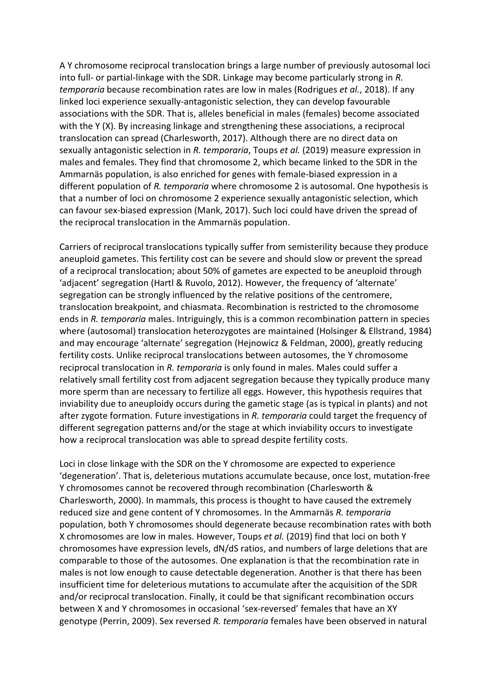A Y chromosome reciprocal translocation brings a large number of previously autosomal loci into full- or partial-linkage with the SDR. Linkage may become particularly strong in *R. temporaria* because recombination rates are low in males (Rodrigues *et al.*, 2018). If any linked loci experience sexually-antagonistic selection, they can develop favourable associations with the SDR. That is, alleles beneficial in males (females) become associated with the Y (X). By increasing linkage and strengthening these associations, a reciprocal translocation can spread (Charlesworth, 2017). Although there are no direct data on sexually antagonistic selection in *R. temporaria*, Toups *et al.* (2019) measure expression in males and females. They find that chromosome 2, which became linked to the SDR in the Ammarnäs population, is also enriched for genes with female-biased expression in a different population of *R. temporaria* where chromosome 2 is autosomal. One hypothesis is that a number of loci on chromosome 2 experience sexually antagonistic selection, which can favour sex-biased expression (Mank, 2017). Such loci could have driven the spread of the reciprocal translocation in the Ammarnäs population.

Carriers of reciprocal translocations typically suffer from semisterility because they produce aneuploid gametes. This fertility cost can be severe and should slow or prevent the spread of a reciprocal translocation; about 50% of gametes are expected to be aneuploid through 'adjacent' segregation (Hartl & Ruvolo, 2012). However, the frequency of 'alternate' segregation can be strongly influenced by the relative positions of the centromere, translocation breakpoint, and chiasmata. Recombination is restricted to the chromosome ends in *R. temporaria* males. Intriguingly, this is a common recombination pattern in species where (autosomal) translocation heterozygotes are maintained (Holsinger & Ellstrand, 1984) and may encourage 'alternate' segregation (Hejnowicz & Feldman, 2000), greatly reducing fertility costs. Unlike reciprocal translocations between autosomes, the Y chromosome reciprocal translocation in *R. temporaria* is only found in males. Males could suffer a relatively small fertility cost from adjacent segregation because they typically produce many more sperm than are necessary to fertilize all eggs. However, this hypothesis requires that inviability due to aneuploidy occurs during the gametic stage (as is typical in plants) and not after zygote formation. Future investigations in *R. temporaria* could target the frequency of different segregation patterns and/or the stage at which inviability occurs to investigate how a reciprocal translocation was able to spread despite fertility costs.

Loci in close linkage with the SDR on the Y chromosome are expected to experience 'degeneration'. That is, deleterious mutations accumulate because, once lost, mutation-free Y chromosomes cannot be recovered through recombination (Charlesworth & Charlesworth, 2000). In mammals, this process is thought to have caused the extremely reduced size and gene content of Y chromosomes. In the Ammarnäs *R. temporaria* population, both Y chromosomes should degenerate because recombination rates with both X chromosomes are low in males. However, Toups *et al.* (2019) find that loci on both Y chromosomes have expression levels, dN/dS ratios, and numbers of large deletions that are comparable to those of the autosomes. One explanation is that the recombination rate in males is not low enough to cause detectable degeneration. Another is that there has been insufficient time for deleterious mutations to accumulate after the acquisition of the SDR and/or reciprocal translocation. Finally, it could be that significant recombination occurs between X and Y chromosomes in occasional 'sex-reversed' females that have an XY genotype (Perrin, 2009). Sex reversed *R. temporaria* females have been observed in natural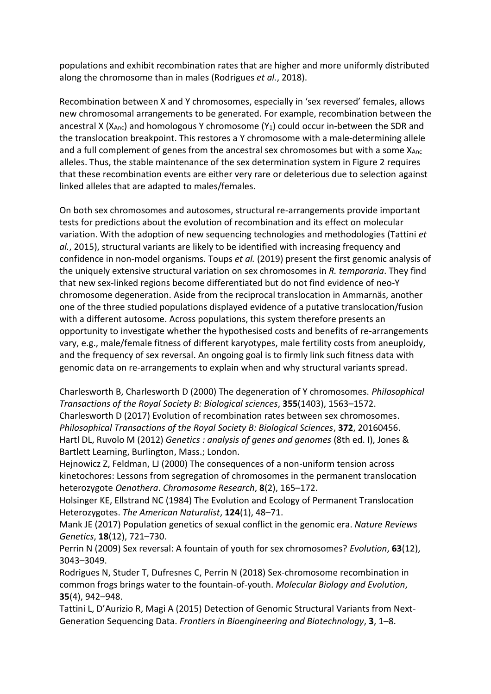populations and exhibit recombination rates that are higher and more uniformly distributed along the chromosome than in males (Rodrigues *et al.*, 2018).

Recombination between X and Y chromosomes, especially in 'sex reversed' females, allows new chromosomal arrangements to be generated. For example, recombination between the ancestral X ( $X_{\text{Anc}}$ ) and homologous Y chromosome ( $Y_1$ ) could occur in-between the SDR and the translocation breakpoint. This restores a Y chromosome with a male-determining allele and a full complement of genes from the ancestral sex chromosomes but with a some  $X_{\text{Arc}}$ alleles. Thus, the stable maintenance of the sex determination system in Figure 2 requires that these recombination events are either very rare or deleterious due to selection against linked alleles that are adapted to males/females.

On both sex chromosomes and autosomes, structural re-arrangements provide important tests for predictions about the evolution of recombination and its effect on molecular variation. With the adoption of new sequencing technologies and methodologies (Tattini *et al.*, 2015), structural variants are likely to be identified with increasing frequency and confidence in non-model organisms. Toups *et al.* (2019) present the first genomic analysis of the uniquely extensive structural variation on sex chromosomes in *R. temporaria*. They find that new sex-linked regions become differentiated but do not find evidence of neo-Y chromosome degeneration. Aside from the reciprocal translocation in Ammarnäs, another one of the three studied populations displayed evidence of a putative translocation/fusion with a different autosome. Across populations, this system therefore presents an opportunity to investigate whether the hypothesised costs and benefits of re-arrangements vary, e.g., male/female fitness of different karyotypes, male fertility costs from aneuploidy, and the frequency of sex reversal. An ongoing goal is to firmly link such fitness data with genomic data on re-arrangements to explain when and why structural variants spread.

Charlesworth B, Charlesworth D (2000) The degeneration of Y chromosomes. *Philosophical Transactions of the Royal Society B: Biological sciences*, **355**(1403), 1563–1572. Charlesworth D (2017) Evolution of recombination rates between sex chromosomes. *Philosophical Transactions of the Royal Society B: Biological Sciences*, **372**, 20160456. Hartl DL, Ruvolo M (2012) *Genetics : analysis of genes and genomes* (8th ed. I), Jones & Bartlett Learning, Burlington, Mass.; London.

Hejnowicz Z, Feldman, LJ (2000) The consequences of a non-uniform tension across kinetochores: Lessons from segregation of chromosomes in the permanent translocation heterozygote *Oenothera*. *Chromosome Research*, **8**(2), 165–172.

Holsinger KE, Ellstrand NC (1984) The Evolution and Ecology of Permanent Translocation Heterozygotes. *The American Naturalist*, **124**(1), 48–71.

Mank JE (2017) Population genetics of sexual conflict in the genomic era. *Nature Reviews Genetics*, **18**(12), 721–730.

Perrin N (2009) Sex reversal: A fountain of youth for sex chromosomes? *Evolution*, **63**(12), 3043–3049.

Rodrigues N, Studer T, Dufresnes C, Perrin N (2018) Sex-chromosome recombination in common frogs brings water to the fountain-of-youth. *Molecular Biology and Evolution*, **35**(4), 942–948.

Tattini L, D'Aurizio R, Magi A (2015) Detection of Genomic Structural Variants from Next-Generation Sequencing Data. *Frontiers in Bioengineering and Biotechnology*, **3**, 1–8.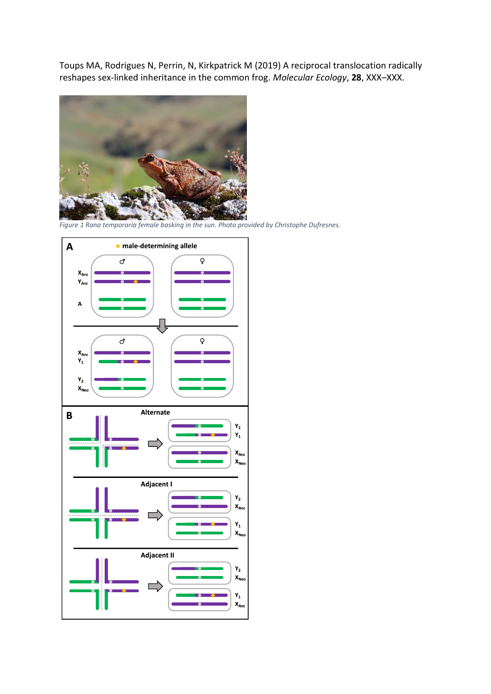Toups MA, Rodrigues N, Perrin, N, Kirkpatrick M (2019) A reciprocal translocation radically reshapes sex-linked inheritance in the common frog. *Molecular Ecology*, **28**, XXX–XXX.



*Figure 1 Rana temporaria female basking in the sun. Photo provided by Christophe Dufresnes.*